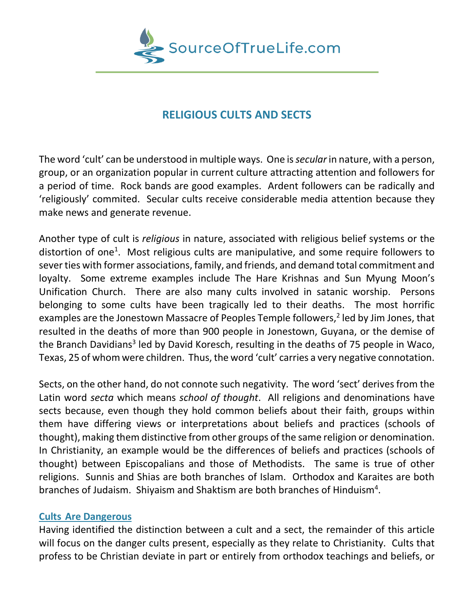

# **RELIGIOUS CULTS AND SECTS**

The word 'cult' can be understood in multiple ways. One is *secular*in nature, with a person, group, or an organization popular in current culture attracting attention and followers for a period of time. Rock bands are good examples. Ardent followers can be radically and 'religiously' commited. Secular cults receive considerable media attention because they make news and generate revenue.

Another type of cult is *religious* in nature, associated with religious belief systems or the distortion of one<sup>1</sup>. Most religious cults are manipulative, and some require followers to sever ties with former associations, family, and friends, and demand total commitment and loyalty. Some extreme examples include The Hare Krishnas and Sun Myung Moon's Unification Church. There are also many cults involved in satanic worship. Persons belonging to some cults have been tragically led to their deaths. The most horrific examples are the Jonestown Massacre of Peoples Temple followers,<sup>2</sup> led by Jim Jones, that resulted in the deaths of more than 900 people in Jonestown, Guyana, or the demise of the Branch Davidians<sup>3</sup> led by David Koresch, resulting in the deaths of 75 people in Waco, Texas, 25 of whom were children. Thus, the word 'cult' carries a very negative connotation.

Sects, on the other hand, do not connote such negativity. The word 'sect' derives from the Latin word *secta* which means *school of thought*. All religions and denominations have sects because, even though they hold common beliefs about their faith, groups within them have differing views or interpretations about beliefs and practices (schools of thought), making them distinctive from other groups of the same religion or denomination. In Christianity, an example would be the differences of beliefs and practices (schools of thought) between Episcopalians and those of Methodists. The same is true of other religions. Sunnis and Shias are both branches of Islam. Orthodox and Karaites are both branches of Judaism. Shiyaism and Shaktism are both branches of Hinduism<sup>4</sup>.

## **Cults Are Dangerous**

Having identified the distinction between a cult and a sect, the remainder of this article will focus on the danger cults present, especially as they relate to Christianity. Cults that profess to be Christian deviate in part or entirely from orthodox teachings and beliefs, or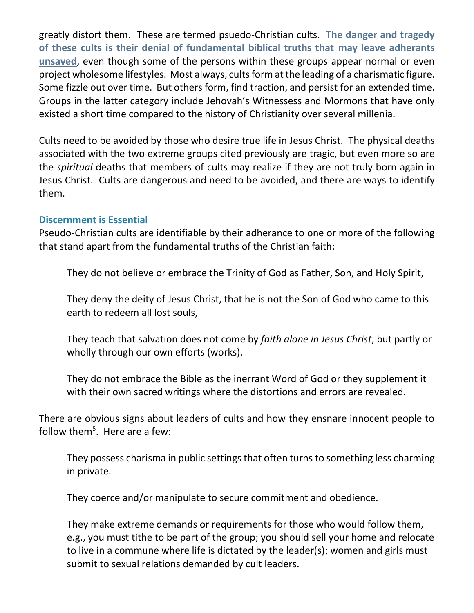greatly distort them. These are termed psuedo-Christian cults. **The danger and tragedy of these cults is their denial of fundamental biblical truths that may leave adherants unsaved**, even though some of the persons within these groups appear normal or even project wholesome lifestyles. Most always, cults form at the leading of a charismatic figure. Some fizzle out over time. But others form, find traction, and persist for an extended time. Groups in the latter category include Jehovah's Witnessess and Mormons that have only existed a short time compared to the history of Christianity over several millenia.

Cults need to be avoided by those who desire true life in Jesus Christ. The physical deaths associated with the two extreme groups cited previously are tragic, but even more so are the *spiritual* deaths that members of cults may realize if they are not truly born again in Jesus Christ. Cults are dangerous and need to be avoided, and there are ways to identify them.

## **Discernment is Essential**

Pseudo-Christian cults are identifiable by their adherance to one or more of the following that stand apart from the fundamental truths of the Christian faith:

They do not believe or embrace the Trinity of God as Father, Son, and Holy Spirit,

They deny the deity of Jesus Christ, that he is not the Son of God who came to this earth to redeem all lost souls,

They teach that salvation does not come by *faith alone in Jesus Christ*, but partly or wholly through our own efforts (works).

They do not embrace the Bible as the inerrant Word of God or they supplement it with their own sacred writings where the distortions and errors are revealed.

There are obvious signs about leaders of cults and how they ensnare innocent people to follow them<sup>5</sup>. Here are a few:

They possess charisma in public settings that often turns to something less charming in private.

They coerce and/or manipulate to secure commitment and obedience.

They make extreme demands or requirements for those who would follow them, e.g., you must tithe to be part of the group; you should sell your home and relocate to live in a commune where life is dictated by the leader(s); women and girls must submit to sexual relations demanded by cult leaders.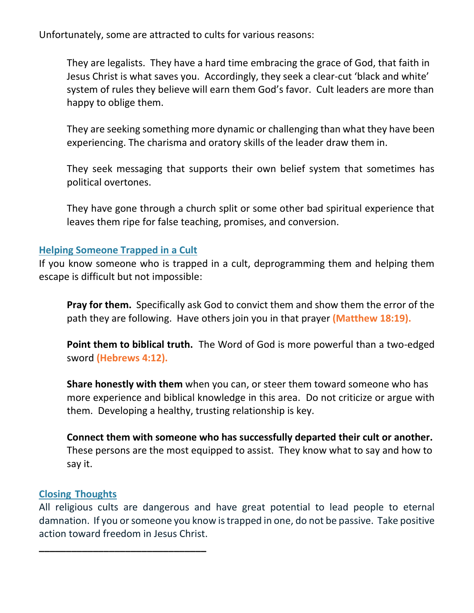Unfortunately, some are attracted to cults for various reasons:

They are legalists. They have a hard time embracing the grace of God, that faith in Jesus Christ is what saves you. Accordingly, they seek a clear-cut 'black and white' system of rules they believe will earn them God's favor. Cult leaders are more than happy to oblige them.

They are seeking something more dynamic or challenging than what they have been experiencing. The charisma and oratory skills of the leader draw them in.

They seek messaging that supports their own belief system that sometimes has political overtones.

They have gone through a church split or some other bad spiritual experience that leaves them ripe for false teaching, promises, and conversion.

## **Helping Someone Trapped in a Cult**

If you know someone who is trapped in a cult, deprogramming them and helping them escape is difficult but not impossible:

**Pray for them.** Specifically ask God to convict them and show them the error of the path they are following. Have others join you in that prayer **(Matthew 18:19).**

**Point them to biblical truth.** The Word of God is more powerful than a two-edged sword **(Hebrews 4:12).**

**Share honestly with them** when you can, or steer them toward someone who has more experience and biblical knowledge in this area. Do not criticize or argue with them. Developing a healthy, trusting relationship is key.

**Connect them with someone who has successfully departed their cult or another.** These persons are the most equipped to assist. They know what to say and how to say it.

## **Closing Thoughts**

**\_\_\_\_\_\_\_\_\_\_\_\_\_\_\_\_\_\_\_\_\_\_\_\_\_\_\_\_\_\_\_**

All religious cults are dangerous and have great potential to lead people to eternal damnation. If you or someone you know is trapped in one, do not be passive. Take positive action toward freedom in Jesus Christ.